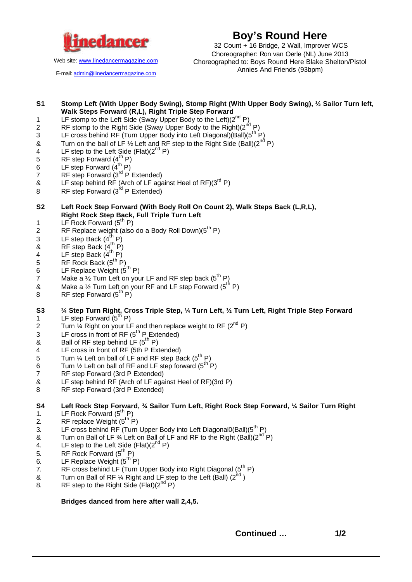

**Boy's Round Here**

Web site: www.linedancermagazine.com

E-mail: admin@linedancermagazine.com

 32 Count + 16 Bridge, 2 Wall, Improver WCS Choreographer: Ron van Oerle (NL) June 2013 Choreographed to: Boys Round Here Blake Shelton/Pistol Annies And Friends (93bpm)

## **S1 Stomp Left (With Upper Body Swing), Stomp Right (With Upper Body Swing), ½ Sailor Turn left, Walk Steps Forward (R,L), Right Triple Step Forward** 1 LF stomp to the Left Side (Sway Upper Body to the Left)(2<sup>nd</sup> P)

- 
- 2 RF stomp to the Right Side (Sway Upper Body to the Right) $(2^{n/d} P)$
- 3 LF cross behind RF (Turn Upper Body into Left Diagonal)(Ball)(5<sup>th P</sup>)
- & Turn on the ball of LF  $\frac{1}{2}$  Left and RF step to the Right Side (Ball)(2<sup>nd</sup> P)
- 4 LF step to the Left Side (Flat) $(2^{nd} P)$
- 5 RF step Forward  $(4^{th} P)$
- 6 LF step Forward  $(4^{th} P)$
- $7$  RF step Forward ( $3^{rd}$  P Extended)
- & LF step behind RF (Arch of LF against Heel of RF) $(3<sup>rd</sup> P)$
- 8 RF step Forward  $(3^{rd} P$  Extended)
- **S2 Left Rock Step Forward (With Body Roll On Count 2), Walk Steps Back (L,R,L), Right Rock Step Back, Full Triple Turn Left**
- 1 LF Rock Forward  $(5^{th} P)$
- 2 RF Replace weight (also do a Body Roll Down) $(5^{th} P)$
- 3 LF step Back  $(4^{th} P)$
- $\overline{8}$  RF step Back (4<sup>th</sup> P)
- 4 LF step Back  $(4^{th} P)$
- 5 RF Rock Back  $(5^{th} P)$
- 6 LF Replace Weight  $(5^{\text{th}} P)$
- 7 Make a  $\frac{1}{2}$  Turn Left on your LF and RF step back (5<sup>th</sup> P)
- & Make a  $\frac{1}{2}$  Turn Left on your RF and LF step Forward (5<sup>th</sup> P)
- 8 RF step Forward  $(5^{th} P)$
- **S3 ¼ Step Turn Right, Cross Triple Step, ¼ Turn Left, ½ Turn Left, Right Triple Step Forward** 1 LF step Forward  $(5^{\text{th}} P)$
- 2 Turn  $\frac{1}{4}$  Right on your LF and then replace weight to RF (2<sup>nd</sup> P)
- $3$  LF cross in front of RF ( $5<sup>th</sup>$  P Extended)
- & Ball of RF step behind  $LF (5<sup>th</sup> P)$
- 4 LF cross in front of RF (5th P Extended)
- 5 Turn  $\frac{1}{4}$  Left on ball of LF and RF step Back (5<sup>th</sup> P)
- 6 Turn  $\frac{1}{2}$  Left on ball of RF and LF step forward  $(5^{th} P)$
- 7 RF step Forward (3rd P Extended)
- & LF step behind RF (Arch of LF against Heel of RF)(3rd P)
- 8 RF step Forward (3rd P Extended)

**S4 Left Rock Step Forward, ¾ Sailor Turn Left, Right Rock Step Forward, ¼ Sailor Turn Right** 1. LF Rock Forward  $(5^{th} P)$ 

- 2. RF replace Weight  $(5^{\text{th}} P)$
- 3. LF cross behind RF (Turn Upper Body into Left Diagonal0(Ball)(5<sup>th</sup> P)
- & Turn on Ball of LF  $\frac{3}{4}$  Left on Ball of LF and RF to the Right (Ball)( $2^{nd}$  P)
- 4. LF step to the Left Side (Flat) $(2^{nd} P)$
- 5. RF Rock Forward  $(5^{\text{th}} P)$
- 6. LF Replace Weight  $(5^{\text{th}} P)$
- 7. RF cross behind LF (Turn Upper Body into Right Diagonal  $(5^{th} P)$
- & Turn on Ball of RF  $\frac{1}{4}$  Right and LF step to the Left (Ball) (2<sup>nd</sup>)
- 8. RF step to the Right Side (Flat) $(2^{nd} P)$

**Bridges danced from here after wall 2,4,5.**

**Continued … 1/2**